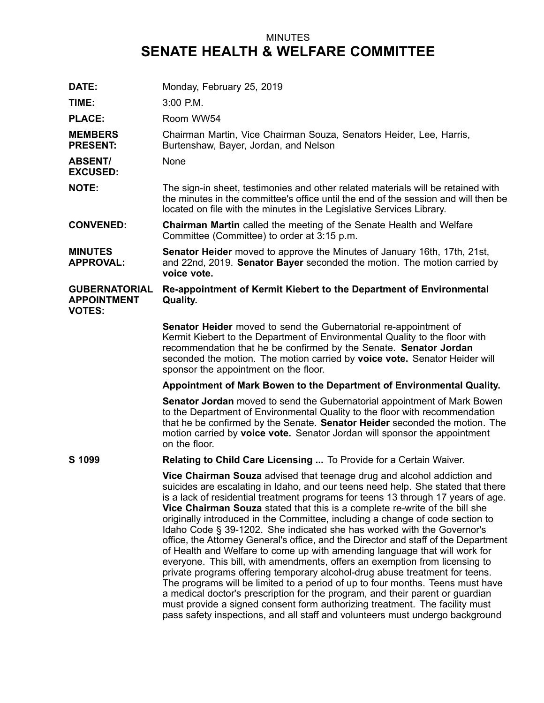## MINUTES **SENATE HEALTH & WELFARE COMMITTEE**

| DATE:                                                       | Monday, February 25, 2019                                                                                                                                                                                                                                                                                                                                                                                                                                                                                                                                                                                                                                                                                                                                                                                                                                                                                                                                                                                                                                                       |
|-------------------------------------------------------------|---------------------------------------------------------------------------------------------------------------------------------------------------------------------------------------------------------------------------------------------------------------------------------------------------------------------------------------------------------------------------------------------------------------------------------------------------------------------------------------------------------------------------------------------------------------------------------------------------------------------------------------------------------------------------------------------------------------------------------------------------------------------------------------------------------------------------------------------------------------------------------------------------------------------------------------------------------------------------------------------------------------------------------------------------------------------------------|
| TIME:                                                       | 3:00 P.M.                                                                                                                                                                                                                                                                                                                                                                                                                                                                                                                                                                                                                                                                                                                                                                                                                                                                                                                                                                                                                                                                       |
| <b>PLACE:</b>                                               | Room WW54                                                                                                                                                                                                                                                                                                                                                                                                                                                                                                                                                                                                                                                                                                                                                                                                                                                                                                                                                                                                                                                                       |
| <b>MEMBERS</b><br><b>PRESENT:</b>                           | Chairman Martin, Vice Chairman Souza, Senators Heider, Lee, Harris,<br>Burtenshaw, Bayer, Jordan, and Nelson                                                                                                                                                                                                                                                                                                                                                                                                                                                                                                                                                                                                                                                                                                                                                                                                                                                                                                                                                                    |
| <b>ABSENT/</b><br><b>EXCUSED:</b>                           | None                                                                                                                                                                                                                                                                                                                                                                                                                                                                                                                                                                                                                                                                                                                                                                                                                                                                                                                                                                                                                                                                            |
| <b>NOTE:</b>                                                | The sign-in sheet, testimonies and other related materials will be retained with<br>the minutes in the committee's office until the end of the session and will then be<br>located on file with the minutes in the Legislative Services Library.                                                                                                                                                                                                                                                                                                                                                                                                                                                                                                                                                                                                                                                                                                                                                                                                                                |
| <b>CONVENED:</b>                                            | <b>Chairman Martin</b> called the meeting of the Senate Health and Welfare<br>Committee (Committee) to order at 3:15 p.m.                                                                                                                                                                                                                                                                                                                                                                                                                                                                                                                                                                                                                                                                                                                                                                                                                                                                                                                                                       |
| <b>MINUTES</b><br><b>APPROVAL:</b>                          | <b>Senator Heider</b> moved to approve the Minutes of January 16th, 17th, 21st,<br>and 22nd, 2019. Senator Bayer seconded the motion. The motion carried by<br>voice vote.                                                                                                                                                                                                                                                                                                                                                                                                                                                                                                                                                                                                                                                                                                                                                                                                                                                                                                      |
| <b>GUBERNATORIAL</b><br><b>APPOINTMENT</b><br><b>VOTES:</b> | Re-appointment of Kermit Kiebert to the Department of Environmental<br><b>Quality.</b>                                                                                                                                                                                                                                                                                                                                                                                                                                                                                                                                                                                                                                                                                                                                                                                                                                                                                                                                                                                          |
|                                                             | Senator Heider moved to send the Gubernatorial re-appointment of<br>Kermit Kiebert to the Department of Environmental Quality to the floor with<br>recommendation that he be confirmed by the Senate. Senator Jordan<br>seconded the motion. The motion carried by voice vote. Senator Heider will<br>sponsor the appointment on the floor.                                                                                                                                                                                                                                                                                                                                                                                                                                                                                                                                                                                                                                                                                                                                     |
|                                                             | Appointment of Mark Bowen to the Department of Environmental Quality.                                                                                                                                                                                                                                                                                                                                                                                                                                                                                                                                                                                                                                                                                                                                                                                                                                                                                                                                                                                                           |
|                                                             | <b>Senator Jordan</b> moved to send the Gubernatorial appointment of Mark Bowen<br>to the Department of Environmental Quality to the floor with recommendation<br>that he be confirmed by the Senate. Senator Heider seconded the motion. The<br>motion carried by voice vote. Senator Jordan will sponsor the appointment<br>on the floor.                                                                                                                                                                                                                                                                                                                                                                                                                                                                                                                                                                                                                                                                                                                                     |
| S 1099                                                      | Relating to Child Care Licensing  To Provide for a Certain Waiver.                                                                                                                                                                                                                                                                                                                                                                                                                                                                                                                                                                                                                                                                                                                                                                                                                                                                                                                                                                                                              |
|                                                             | Vice Chairman Souza advised that teenage drug and alcohol addiction and<br>suicides are escalating in Idaho, and our teens need help. She stated that there<br>is a lack of residential treatment programs for teens 13 through 17 years of age.<br>Vice Chairman Souza stated that this is a complete re-write of the bill she<br>originally introduced in the Committee, including a change of code section to<br>Idaho Code § 39-1202. She indicated she has worked with the Governor's<br>office, the Attorney General's office, and the Director and staff of the Department<br>of Health and Welfare to come up with amending language that will work for<br>everyone. This bill, with amendments, offers an exemption from licensing to<br>private programs offering temporary alcohol-drug abuse treatment for teens.<br>The programs will be limited to a period of up to four months. Teens must have<br>a medical doctor's prescription for the program, and their parent or guardian<br>must provide a signed consent form authorizing treatment. The facility must |

must provide <sup>a</sup> signed consent form authorizing treatment. The facility must pass safety inspections, and all staff and volunteers must undergo background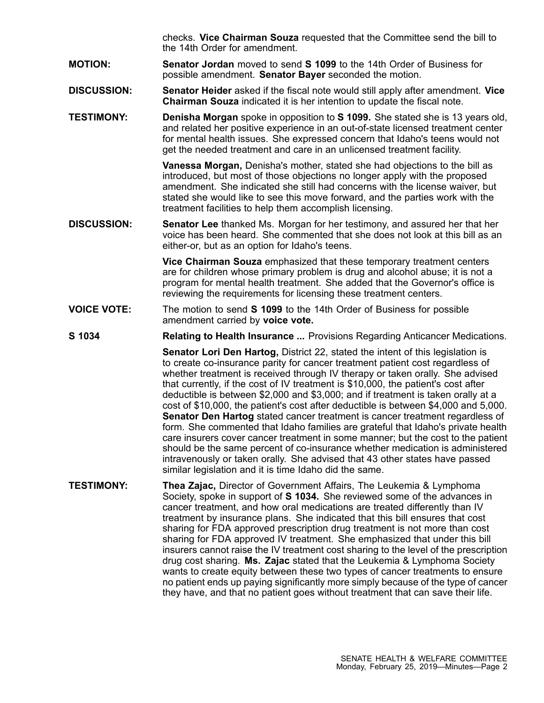checks. **Vice Chairman Souza** requested that the Committee send the bill to the 14th Order for amendment.

- **MOTION: Senator Jordan** moved to send **S 1099** to the 14th Order of Business for possible amendment. **Senator Bayer** seconded the motion.
- **DISCUSSION: Senator Heider** asked if the fiscal note would still apply after amendment. **Vice Chairman Souza** indicated it is her intention to update the fiscal note.
- **TESTIMONY: Denisha Morgan** spoke in opposition to **S 1099.** She stated she is 13 years old, and related her positive experience in an out-of-state licensed treatment center for mental health issues. She expressed concern that Idaho's teens would not get the needed treatment and care in an unlicensed treatment facility.

**Vanessa Morgan,** Denisha's mother, stated she had objections to the bill as introduced, but most of those objections no longer apply with the proposed amendment. She indicated she still had concerns with the license waiver, but stated she would like to see this move forward, and the parties work with the treatment facilities to help them accomplish licensing.

**DISCUSSION: Senator Lee** thanked Ms. Morgan for her testimony, and assured her that her voice has been heard. She commented that she does not look at this bill as an either-or, but as an option for Idaho's teens.

> **Vice Chairman Souza** emphasized that these temporary treatment centers are for children whose primary problem is drug and alcohol abuse; it is not <sup>a</sup> program for mental health treatment. She added that the Governor's office is reviewing the requirements for licensing these treatment centers.

- **VOICE VOTE:** The motion to send **S 1099** to the 14th Order of Business for possible amendment carried by **voice vote.**
- **S 1034 Relating to Health Insurance ...** Provisions Regarding Anticancer Medications.

**Senator Lori Den Hartog,** District 22, stated the intent of this legislation is to create co-insurance parity for cancer treatment patient cost regardless of whether treatment is received through IV therapy or taken orally. She advised that currently, if the cost of IV treatment is \$10,000, the patient's cost after deductible is between \$2,000 and \$3,000; and if treatment is taken orally at <sup>a</sup> cost of \$10,000, the patient's cost after deductible is between \$4,000 and 5,000. **Senator Den Hartog** stated cancer treatment is cancer treatment regardless of form. She commented that Idaho families are grateful that Idaho's private health care insurers cover cancer treatment in some manner; but the cost to the patient should be the same percent of co-insurance whether medication is administered intravenously or taken orally. She advised that 43 other states have passed similar legislation and it is time Idaho did the same.

**TESTIMONY: Thea Zajac,** Director of Government Affairs, The Leukemia & Lymphoma Society, spoke in support of **S 1034.** She reviewed some of the advances in cancer treatment, and how oral medications are treated differently than IV treatment by insurance plans. She indicated that this bill ensures that cost sharing for FDA approved prescription drug treatment is not more than cost sharing for FDA approved IV treatment. She emphasized that under this bill insurers cannot raise the IV treatment cost sharing to the level of the prescription drug cost sharing. **Ms. Zajac** stated that the Leukemia & Lymphoma Society wants to create equity between these two types of cancer treatments to ensure no patient ends up paying significantly more simply because of the type of cancer they have, and that no patient goes without treatment that can save their life.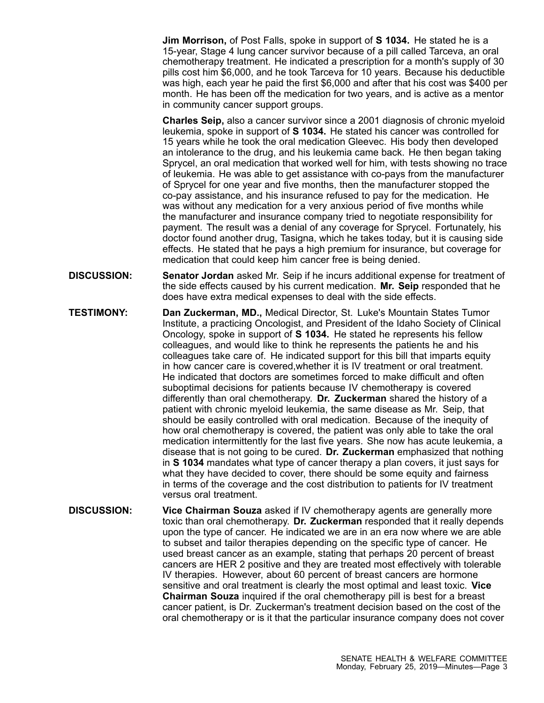**Jim Morrison,** of Post Falls, spoke in support of **S 1034.** He stated he is <sup>a</sup> 15-year, Stage 4 lung cancer survivor because of <sup>a</sup> pill called Tarceva, an oral chemotherapy treatment. He indicated <sup>a</sup> prescription for <sup>a</sup> month's supply of 30 pills cost him \$6,000, and he took Tarceva for 10 years. Because his deductible was high, each year he paid the first \$6,000 and after that his cost was \$400 per month. He has been off the medication for two years, and is active as <sup>a</sup> mentor in community cancer support groups.

**Charles Seip,** also <sup>a</sup> cancer survivor since <sup>a</sup> 2001 diagnosis of chronic myeloid leukemia, spoke in support of **S 1034.** He stated his cancer was controlled for 15 years while he took the oral medication Gleevec. His body then developed an intolerance to the drug, and his leukemia came back. He then began taking Sprycel, an oral medication that worked well for him, with tests showing no trace of leukemia. He was able to get assistance with co-pays from the manufacturer of Sprycel for one year and five months, then the manufacturer stopped the co-pay assistance, and his insurance refused to pay for the medication. He was without any medication for <sup>a</sup> very anxious period of five months while the manufacturer and insurance company tried to negotiate responsibility for payment. The result was <sup>a</sup> denial of any coverage for Sprycel. Fortunately, his doctor found another drug, Tasigna, which he takes today, but it is causing side effects. He stated that he pays <sup>a</sup> high premium for insurance, but coverage for medication that could keep him cancer free is being denied.

- **DISCUSSION: Senator Jordan** asked Mr. Seip if he incurs additional expense for treatment of the side effects caused by his current medication. **Mr. Seip** responded that he does have extra medical expenses to deal with the side effects.
- **TESTIMONY: Dan Zuckerman, MD.,** Medical Director, St. Luke's Mountain States Tumor Institute, <sup>a</sup> practicing Oncologist, and President of the Idaho Society of Clinical Oncology, spoke in support of **S 1034.** He stated he represents his fellow colleagues, and would like to think he represents the patients he and his colleagues take care of. He indicated support for this bill that imparts equity in how cancer care is covered,whether it is IV treatment or oral treatment. He indicated that doctors are sometimes forced to make difficult and often suboptimal decisions for patients because IV chemotherapy is covered differently than oral chemotherapy. **Dr. Zuckerman** shared the history of <sup>a</sup> patient with chronic myeloid leukemia, the same disease as Mr. Seip, that should be easily controlled with oral medication. Because of the inequity of how oral chemotherapy is covered, the patient was only able to take the oral medication intermittently for the last five years. She now has acute leukemia, <sup>a</sup> disease that is not going to be cured. **Dr. Zuckerman** emphasized that nothing in **S 1034** mandates what type of cancer therapy <sup>a</sup> plan covers, it just says for what they have decided to cover, there should be some equity and fairness in terms of the coverage and the cost distribution to patients for IV treatment versus oral treatment.
- **DISCUSSION: Vice Chairman Souza** asked if IV chemotherapy agents are generally more toxic than oral chemotherapy. **Dr. Zuckerman** responded that it really depends upon the type of cancer. He indicated we are in an era now where we are able to subset and tailor therapies depending on the specific type of cancer. He used breast cancer as an example, stating that perhaps 20 percent of breast cancers are HER 2 positive and they are treated most effectively with tolerable IV therapies. However, about 60 percent of breast cancers are hormone sensitive and oral treatment is clearly the most optimal and least toxic. **Vice Chairman Souza** inquired if the oral chemotherapy pill is best for <sup>a</sup> breast cancer patient, is Dr. Zuckerman's treatment decision based on the cost of the oral chemotherapy or is it that the particular insurance company does not cover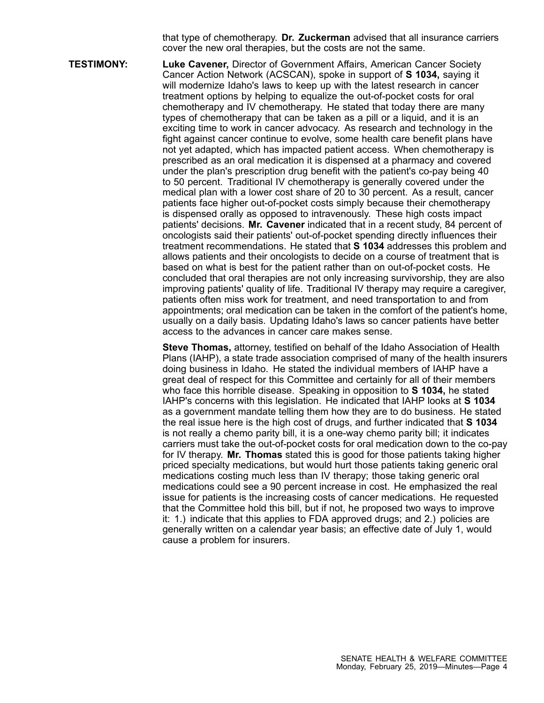that type of chemotherapy. **Dr. Zuckerman** advised that all insurance carriers cover the new oral therapies, but the costs are not the same.

**TESTIMONY: Luke Cavener,** Director of Government Affairs, American Cancer Society Cancer Action Network (ACSCAN), spoke in support of **S 1034,** saying it will modernize Idaho's laws to keep up with the latest research in cancer treatment options by helping to equalize the out-of-pocket costs for oral chemotherapy and IV chemotherapy. He stated that today there are many types of chemotherapy that can be taken as <sup>a</sup> pill or <sup>a</sup> liquid, and it is an exciting time to work in cancer advocacy. As research and technology in the fight against cancer continue to evolve, some health care benefit plans have not yet adapted, which has impacted patient access. When chemotherapy is prescribed as an oral medication it is dispensed at <sup>a</sup> pharmacy and covered under the plan's prescription drug benefit with the patient's co-pay being 40 to 50 percent. Traditional IV chemotherapy is generally covered under the medical plan with <sup>a</sup> lower cost share of 20 to 30 percent. As <sup>a</sup> result, cancer patients face higher out-of-pocket costs simply because their chemotherapy is dispensed orally as opposed to intravenously. These high costs impact patients' decisions. **Mr. Cavener** indicated that in <sup>a</sup> recent study, 84 percent of oncologists said their patients' out-of-pocket spending directly influences their treatment recommendations. He stated that **S 1034** addresses this problem and allows patients and their oncologists to decide on <sup>a</sup> course of treatment that is based on what is best for the patient rather than on out-of-pocket costs. He concluded that oral therapies are not only increasing survivorship, they are also improving patients' quality of life. Traditional IV therapy may require <sup>a</sup> caregiver, patients often miss work for treatment, and need transportation to and from appointments; oral medication can be taken in the comfort of the patient's home, usually on <sup>a</sup> daily basis. Updating Idaho's laws so cancer patients have better access to the advances in cancer care makes sense.

> **Steve Thomas,** attorney, testified on behalf of the Idaho Association of Health Plans (IAHP), <sup>a</sup> state trade association comprised of many of the health insurers doing business in Idaho. He stated the individual members of IAHP have <sup>a</sup> great deal of respect for this Committee and certainly for all of their members who face this horrible disease. Speaking in opposition to **S 1034,** he stated IAHP's concerns with this legislation. He indicated that IAHP looks at **S 1034** as <sup>a</sup> government mandate telling them how they are to do business. He stated the real issue here is the high cost of drugs, and further indicated that **S 1034** is not really <sup>a</sup> chemo parity bill, it is <sup>a</sup> one-way chemo parity bill; it indicates carriers must take the out-of-pocket costs for oral medication down to the co-pay for IV therapy. **Mr. Thomas** stated this is good for those patients taking higher priced specialty medications, but would hurt those patients taking generic oral medications costing much less than IV therapy; those taking generic oral medications could see <sup>a</sup> 90 percent increase in cost. He emphasized the real issue for patients is the increasing costs of cancer medications. He requested that the Committee hold this bill, but if not, he proposed two ways to improve it: 1.) indicate that this applies to FDA approved drugs; and 2.) policies are generally written on <sup>a</sup> calendar year basis; an effective date of July 1, would cause <sup>a</sup> problem for insurers.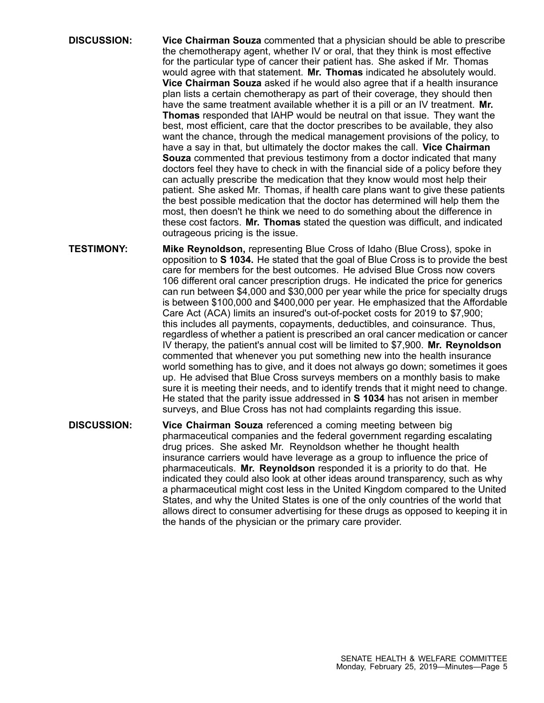- **DISCUSSION: Vice Chairman Souza** commented that <sup>a</sup> physician should be able to prescribe the chemotherapy agent, whether IV or oral, that they think is most effective for the particular type of cancer their patient has. She asked if Mr. Thomas would agree with that statement. **Mr. Thomas** indicated he absolutely would. **Vice Chairman Souza** asked if he would also agree that if <sup>a</sup> health insurance plan lists <sup>a</sup> certain chemotherapy as part of their coverage, they should then have the same treatment available whether it is <sup>a</sup> pill or an IV treatment. **Mr. Thomas** responded that IAHP would be neutral on that issue. They want the best, most efficient, care that the doctor prescribes to be available, they also want the chance, through the medical management provisions of the policy, to have <sup>a</sup> say in that, but ultimately the doctor makes the call. **Vice Chairman Souza** commented that previous testimony from <sup>a</sup> doctor indicated that many doctors feel they have to check in with the financial side of <sup>a</sup> policy before they can actually prescribe the medication that they know would most help their patient. She asked Mr. Thomas, if health care plans want to give these patients the best possible medication that the doctor has determined will help them the most, then doesn't he think we need to do something about the difference in these cost factors. **Mr. Thomas** stated the question was difficult, and indicated outrageous pricing is the issue.
- **TESTIMONY: Mike Reynoldson,** representing Blue Cross of Idaho (Blue Cross), spoke in opposition to **S 1034.** He stated that the goal of Blue Cross is to provide the best care for members for the best outcomes. He advised Blue Cross now covers 106 different oral cancer prescription drugs. He indicated the price for generics can run between \$4,000 and \$30,000 per year while the price for specialty drugs is between \$100,000 and \$400,000 per year. He emphasized that the Affordable Care Act (ACA) limits an insured's out-of-pocket costs for 2019 to \$7,900; this includes all payments, copayments, deductibles, and coinsurance. Thus, regardless of whether <sup>a</sup> patient is prescribed an oral cancer medication or cancer IV therapy, the patient's annual cost will be limited to \$7,900. **Mr. Reynoldson** commented that whenever you put something new into the health insurance world something has to give, and it does not always go down; sometimes it goes up. He advised that Blue Cross surveys members on <sup>a</sup> monthly basis to make sure it is meeting their needs, and to identify trends that it might need to change. He stated that the parity issue addressed in **S 1034** has not arisen in member surveys, and Blue Cross has not had complaints regarding this issue.
- **DISCUSSION: Vice Chairman Souza** referenced <sup>a</sup> coming meeting between big pharmaceutical companies and the federal government regarding escalating drug prices. She asked Mr. Reynoldson whether he thought health insurance carriers would have leverage as <sup>a</sup> group to influence the price of pharmaceuticals. **Mr. Reynoldson** responded it is <sup>a</sup> priority to do that. He indicated they could also look at other ideas around transparency, such as why <sup>a</sup> pharmaceutical might cost less in the United Kingdom compared to the United States, and why the United States is one of the only countries of the world that allows direct to consumer advertising for these drugs as opposed to keeping it in the hands of the physician or the primary care provider.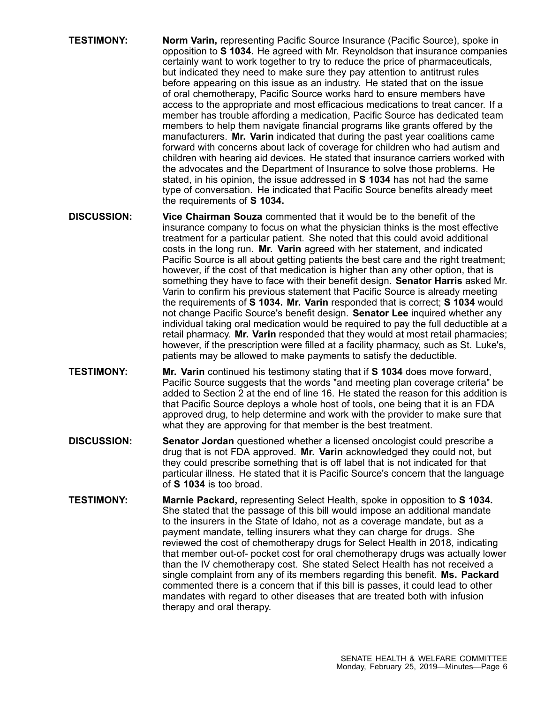- **TESTIMONY: Norm Varin,** representing Pacific Source Insurance (Pacific Source), spoke in opposition to **S 1034.** He agreed with Mr. Reynoldson that insurance companies certainly want to work together to try to reduce the price of pharmaceuticals, but indicated they need to make sure they pay attention to antitrust rules before appearing on this issue as an industry. He stated that on the issue of oral chemotherapy, Pacific Source works hard to ensure members have access to the appropriate and most efficacious medications to treat cancer. If <sup>a</sup> member has trouble affording <sup>a</sup> medication, Pacific Source has dedicated team members to help them navigate financial programs like grants offered by the manufacturers. **Mr. Varin** indicated that during the past year coalitions came forward with concerns about lack of coverage for children who had autism and children with hearing aid devices. He stated that insurance carriers worked with the advocates and the Department of Insurance to solve those problems. He stated, in his opinion, the issue addressed in **S 1034** has not had the same type of conversation. He indicated that Pacific Source benefits already meet the requirements of **S 1034.**
- **DISCUSSION: Vice Chairman Souza** commented that it would be to the benefit of the insurance company to focus on what the physician thinks is the most effective treatment for <sup>a</sup> particular patient. She noted that this could avoid additional costs in the long run. **Mr. Varin** agreed with her statement, and indicated Pacific Source is all about getting patients the best care and the right treatment; however, if the cost of that medication is higher than any other option, that is something they have to face with their benefit design. **Senator Harris** asked Mr. Varin to confirm his previous statement that Pacific Source is already meeting the requirements of **S 1034. Mr. Varin** responded that is correct; **S 1034** would not change Pacific Source's benefit design. **Senator Lee** inquired whether any individual taking oral medication would be required to pay the full deductible at <sup>a</sup> retail pharmacy. **Mr. Varin** responded that they would at most retail pharmacies; however, if the prescription were filled at <sup>a</sup> facility pharmacy, such as St. Luke's, patients may be allowed to make payments to satisfy the deductible.
- **TESTIMONY: Mr. Varin** continued his testimony stating that if **S 1034** does move forward, Pacific Source suggests that the words "and meeting plan coverage criteria" be added to Section 2 at the end of line 16. He stated the reason for this addition is that Pacific Source deploys <sup>a</sup> whole host of tools, one being that it is an FDA approved drug, to help determine and work with the provider to make sure that what they are approving for that member is the best treatment.
- **DISCUSSION: Senator Jordan** questioned whether <sup>a</sup> licensed oncologist could prescribe <sup>a</sup> drug that is not FDA approved. **Mr. Varin** acknowledged they could not, but they could prescribe something that is off label that is not indicated for that particular illness. He stated that it is Pacific Source's concern that the language of **S 1034** is too broad.
- **TESTIMONY: Marnie Packard,** representing Select Health, spoke in opposition to **S 1034.** She stated that the passage of this bill would impose an additional mandate to the insurers in the State of Idaho, not as <sup>a</sup> coverage mandate, but as <sup>a</sup> payment mandate, telling insurers what they can charge for drugs. She reviewed the cost of chemotherapy drugs for Select Health in 2018, indicating that member out-of- pocket cost for oral chemotherapy drugs was actually lower than the IV chemotherapy cost. She stated Select Health has not received <sup>a</sup> single complaint from any of its members regarding this benefit. **Ms. Packard** commented there is <sup>a</sup> concern that if this bill is passes, it could lead to other mandates with regard to other diseases that are treated both with infusion therapy and oral therapy.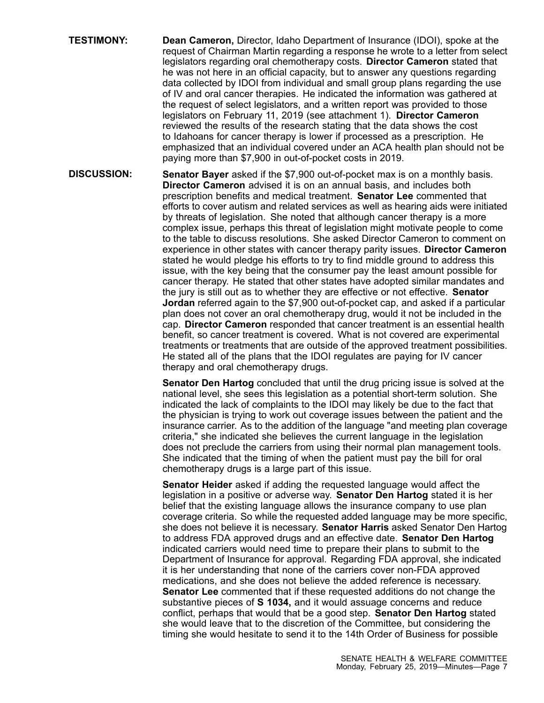- **TESTIMONY: Dean Cameron,** Director, Idaho Department of Insurance (IDOI), spoke at the request of Chairman Martin regarding <sup>a</sup> response he wrote to <sup>a</sup> letter from select legislators regarding oral chemotherapy costs. **Director Cameron** stated that he was not here in an official capacity, but to answer any questions regarding data collected by IDOI from individual and small group plans regarding the use of IV and oral cancer therapies. He indicated the information was gathered at the request of select legislators, and <sup>a</sup> written report was provided to those legislators on February 11, 2019 (see attachment 1). **Director Cameron** reviewed the results of the research stating that the data shows the cost to Idahoans for cancer therapy is lower if processed as <sup>a</sup> prescription. He emphasized that an individual covered under an ACA health plan should not be paying more than \$7,900 in out-of-pocket costs in 2019.
- **DISCUSSION: Senator Bayer** asked if the \$7,900 out-of-pocket max is on <sup>a</sup> monthly basis. **Director Cameron** advised it is on an annual basis, and includes both prescription benefits and medical treatment. **Senator Lee** commented that efforts to cover autism and related services as well as hearing aids were initiated by threats of legislation. She noted that although cancer therapy is <sup>a</sup> more complex issue, perhaps this threat of legislation might motivate people to come to the table to discuss resolutions. She asked Director Cameron to comment on experience in other states with cancer therapy parity issues. **Director Cameron** stated he would pledge his efforts to try to find middle ground to address this issue, with the key being that the consumer pay the least amount possible for cancer therapy. He stated that other states have adopted similar mandates and the jury is still out as to whether they are effective or not effective. **Senator Jordan** referred again to the \$7,900 out-of-pocket cap, and asked if <sup>a</sup> particular plan does not cover an oral chemotherapy drug, would it not be included in the cap. **Director Cameron** responded that cancer treatment is an essential health benefit, so cancer treatment is covered. What is not covered are experimental treatments or treatments that are outside of the approved treatment possibilities. He stated all of the plans that the IDOI regulates are paying for IV cancer therapy and oral chemotherapy drugs.

**Senator Den Hartog** concluded that until the drug pricing issue is solved at the national level, she sees this legislation as <sup>a</sup> potential short-term solution. She indicated the lack of complaints to the IDOI may likely be due to the fact that the physician is trying to work out coverage issues between the patient and the insurance carrier. As to the addition of the language "and meeting plan coverage criteria," she indicated she believes the current language in the legislation does not preclude the carriers from using their normal plan management tools. She indicated that the timing of when the patient must pay the bill for oral chemotherapy drugs is <sup>a</sup> large part of this issue.

**Senator Heider** asked if adding the requested language would affect the legislation in <sup>a</sup> positive or adverse way. **Senator Den Hartog** stated it is her belief that the existing language allows the insurance company to use plan coverage criteria. So while the requested added language may be more specific, she does not believe it is necessary. **Senator Harris** asked Senator Den Hartog to address FDA approved drugs and an effective date. **Senator Den Hartog** indicated carriers would need time to prepare their plans to submit to the Department of Insurance for approval. Regarding FDA approval, she indicated it is her understanding that none of the carriers cover non-FDA approved medications, and she does not believe the added reference is necessary. **Senator Lee** commented that if these requested additions do not change the substantive pieces of **S 1034,** and it would assuage concerns and reduce conflict, perhaps that would that be <sup>a</sup> good step. **Senator Den Hartog** stated she would leave that to the discretion of the Committee, but considering the timing she would hesitate to send it to the 14th Order of Business for possible